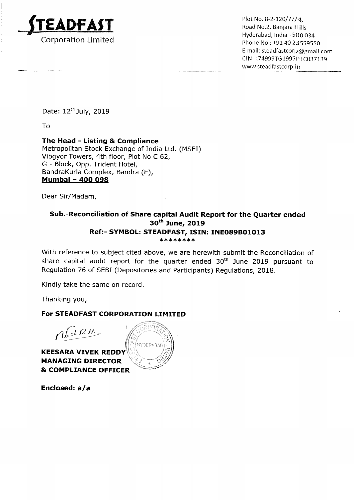

\_ \_ \_ Hyderabad, India — 500 034 Corporation Limited **Phone No. 2008** Phone No : +91 40 23559550 E—mail: steadfastcorp@gmaii.com Cl N: L74999T61995P LC037139 www.5teadfastcorp.in

Date: 12<sup>th</sup> July, 2019

To

## The Head - Listing & Compliance

Metropolitan Stock Exchange of India Ltd. (MSEI) Vibgyor Towers, 4th floor, Plot No <sup>C</sup> 62, G — Block, Opp. Trident Hotel, BandraKurla Complex, Bandra (E), Mumbai — 400 098

Dear Sir/Madam,

## Sub.-Reconciliation of Share capital Audit Report for the Quarter ended 30th June, 2019 Ref:- SYMBOL: STEADFAST, ISIN: INE089B01013 \*\*\*\*\*\*\*\*

With reference to subject cited above, we are herewith submit the Reconciliation of share capital audit report for the quarter ended  $30<sup>th</sup>$  June 2019 pursuant to Regulation 76 of SEBI (Depositories and Participants) Regulations, 2018.

Kindly take the same on record.

Thanking you,

## For STEADFAST CORPORATION LIMITED

 $r$  $\sqrt{q}$   $\approx$  $\frac{1}{2}$ 

**KEESARA VIVEK REDDY** MANAGING DIRECTOR **& COMPLIANCE OFFICER** 

Enclosed: a/a

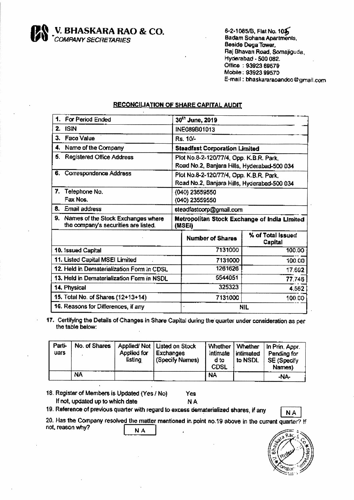**V. BHASKARA RAO & CO.**<br>COMPANY SECRETARIES

6-2-1085/B, Flat No. 105 Badam Sohana Apartments, Beside Dega Tower, Raj Bhavan Road, Somajiguda, Hyderabad - 500 082. Office: 93923 69579 Mobile: 93923 99570 E-mail: bhaskararaoandco@gmail.com

## **RECONCILIATION OF SHARE CAPITAL AUDIT**

| For Period Ended                                                                 |                                                        | 30th June, 2019                                                                        |                              |
|----------------------------------------------------------------------------------|--------------------------------------------------------|----------------------------------------------------------------------------------------|------------------------------|
| 2.<br><b>ISIN</b>                                                                |                                                        | INE089B01013                                                                           |                              |
| 3.<br><b>Face Value</b>                                                          |                                                        | Rs. 10/-                                                                               |                              |
| Name of the Company<br>4.                                                        |                                                        | <b>Steadfast Corporation Limited</b>                                                   |                              |
| 5. Registered Office Address                                                     |                                                        | Plot No.8-2-120/77/4, Opp. K.B.R. Park,<br>Road No.2, Banjara Hills, Hyderabad-500 034 |                              |
| 6. Correspondence Address                                                        |                                                        | Plot No.8-2-120/77/4, Opp. K.B.R. Park,<br>Road No.2, Banjara Hills, Hyderabad-500 034 |                              |
| 7.<br>Telephone No.                                                              |                                                        | (040) 23559550                                                                         |                              |
| Fax Nos.                                                                         | (040) 23559550                                         |                                                                                        |                              |
| 8. Email address                                                                 | steadfastcorp@gmail.com                                |                                                                                        |                              |
|                                                                                  | Metropolitan Stock Exchange of India Limited<br>(MSEI) |                                                                                        |                              |
| 9.<br>Names of the Stock Exchanges where<br>the company's securities are listed. |                                                        |                                                                                        |                              |
|                                                                                  |                                                        | <b>Number of Shares</b>                                                                | % of Total Issued<br>Capital |
| 10. Issued Capital                                                               |                                                        | 7131000                                                                                | 100.00                       |
| 11. Listed Capital MSEI Limited                                                  |                                                        | 7131000                                                                                | 100.00                       |
| 12. Held in Dematerialization Form in CDSL                                       |                                                        | 1261626                                                                                | 17.692                       |
| 13. Held in Dematerialization Form in NSDL                                       |                                                        | 5544051                                                                                | 77.746                       |
| 14. Physical                                                                     |                                                        | 325323                                                                                 | 4.562                        |
| 15. Total No. of Shares (12+13+14)                                               |                                                        | 7131000                                                                                | 100.00                       |

17. Certifying the Details of Changes in Share Capital during the quarter under consideration as per the table below:

| Parti-<br>uars | No. of Shares | Applied for<br>listing | Applied/Not   Listed on Stock<br><b>Exchanges</b><br>(Specify Names) | i Whether<br>intimate<br>d to<br><b>CDSL</b> | Whether<br>intimated<br>to NSDL | Jin Prin, Appr.<br>Pending for<br><b>SE (Specify</b><br>Names) |
|----------------|---------------|------------------------|----------------------------------------------------------------------|----------------------------------------------|---------------------------------|----------------------------------------------------------------|
|                | NA            |                        |                                                                      | <b>NA</b>                                    |                                 | -NA-                                                           |

18. Register of Members is Updated (Yes / No) Yes If not, updated up to which date **NA** 

19. Reference of previous quarter with regard to excess dematerialized shares, if any



20. Has the Company resolved the matter mentioned in point no.19 above in the current quarter? If not, reason why? NA